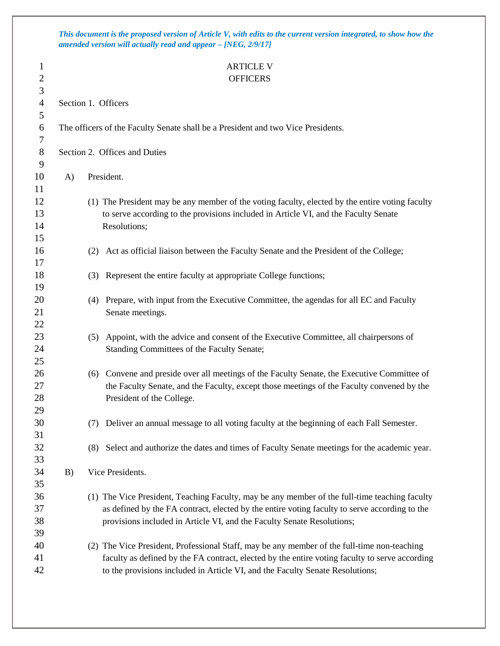*This document is the proposed version of Article V, with edits to the current version integrated, to show how the amended version will actually read and appear – [NEG, 2/9/17]*

## 1 ARTICLE V

| $\mathbf{r}$   |                     | ANIULLI                                                                                         |  |  |  |  |
|----------------|---------------------|-------------------------------------------------------------------------------------------------|--|--|--|--|
| $\overline{2}$ |                     | <b>OFFICERS</b>                                                                                 |  |  |  |  |
| 3              |                     |                                                                                                 |  |  |  |  |
| $\overline{4}$ | Section 1. Officers |                                                                                                 |  |  |  |  |
| 5              |                     |                                                                                                 |  |  |  |  |
| 6              |                     | The officers of the Faculty Senate shall be a President and two Vice Presidents.                |  |  |  |  |
| 7              |                     |                                                                                                 |  |  |  |  |
| 8              |                     | Section 2. Offices and Duties                                                                   |  |  |  |  |
| 9              |                     |                                                                                                 |  |  |  |  |
| 10             | A)                  | President.                                                                                      |  |  |  |  |
| 11             |                     |                                                                                                 |  |  |  |  |
| 12             |                     | (1) The President may be any member of the voting faculty, elected by the entire voting faculty |  |  |  |  |
| 13             |                     | to serve according to the provisions included in Article VI, and the Faculty Senate             |  |  |  |  |
| 14             |                     | Resolutions;                                                                                    |  |  |  |  |
| 15             |                     |                                                                                                 |  |  |  |  |
| 16             |                     | Act as official liaison between the Faculty Senate and the President of the College;<br>(2)     |  |  |  |  |
| 17             |                     |                                                                                                 |  |  |  |  |
| 18             |                     | Represent the entire faculty at appropriate College functions;<br>(3)                           |  |  |  |  |
| 19             |                     |                                                                                                 |  |  |  |  |
| 20             |                     | Prepare, with input from the Executive Committee, the agendas for all EC and Faculty<br>(4)     |  |  |  |  |
| 21             |                     | Senate meetings.                                                                                |  |  |  |  |
| 22             |                     |                                                                                                 |  |  |  |  |
| 23             |                     | Appoint, with the advice and consent of the Executive Committee, all chairpersons of<br>(5)     |  |  |  |  |
| 24             |                     | Standing Committees of the Faculty Senate;                                                      |  |  |  |  |
| 25             |                     |                                                                                                 |  |  |  |  |
| 26             |                     | Convene and preside over all meetings of the Faculty Senate, the Executive Committee of<br>(6)  |  |  |  |  |
| 27             |                     | the Faculty Senate, and the Faculty, except those meetings of the Faculty convened by the       |  |  |  |  |
| 28             |                     | President of the College.                                                                       |  |  |  |  |
| 29             |                     |                                                                                                 |  |  |  |  |
| 30             |                     | Deliver an annual message to all voting faculty at the beginning of each Fall Semester.<br>(7)  |  |  |  |  |
| 31             |                     |                                                                                                 |  |  |  |  |
| 32             |                     | (8) Select and authorize the dates and times of Faculty Senate meetings for the academic year.  |  |  |  |  |
| 33             |                     |                                                                                                 |  |  |  |  |
| 34             | B)                  | Vice Presidents.                                                                                |  |  |  |  |
| 35             |                     |                                                                                                 |  |  |  |  |
| 36             |                     | (1) The Vice President, Teaching Faculty, may be any member of the full-time teaching faculty   |  |  |  |  |
| 37             |                     | as defined by the FA contract, elected by the entire voting faculty to serve according to the   |  |  |  |  |
| 38             |                     | provisions included in Article VI, and the Faculty Senate Resolutions;                          |  |  |  |  |
| 39             |                     |                                                                                                 |  |  |  |  |
| 40             |                     | (2) The Vice President, Professional Staff, may be any member of the full-time non-teaching     |  |  |  |  |
| 41             |                     | faculty as defined by the FA contract, elected by the entire voting faculty to serve according  |  |  |  |  |
| 42             |                     | to the provisions included in Article VI, and the Faculty Senate Resolutions;                   |  |  |  |  |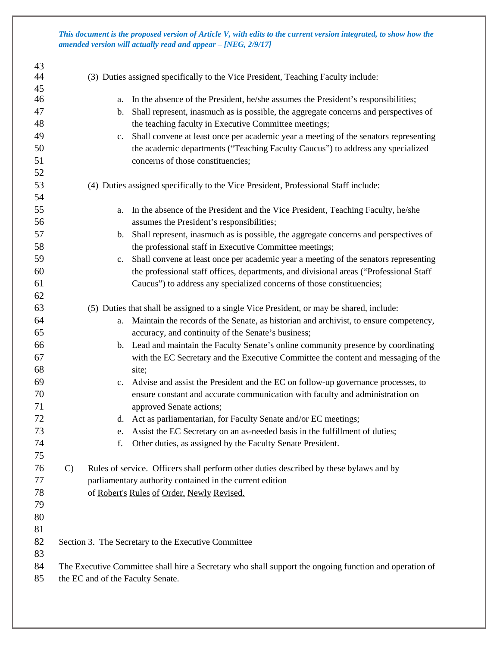*This document is the proposed version of Article V, with edits to the current version integrated, to show how the amended version will actually read and appear – [NEG, 2/9/17]*

| 43       |                                                                                                        |                                                                                                                                                       |  |
|----------|--------------------------------------------------------------------------------------------------------|-------------------------------------------------------------------------------------------------------------------------------------------------------|--|
| 44       |                                                                                                        | (3) Duties assigned specifically to the Vice President, Teaching Faculty include:                                                                     |  |
| 45       |                                                                                                        |                                                                                                                                                       |  |
| 46       |                                                                                                        | In the absence of the President, he/she assumes the President's responsibilities;<br>a.                                                               |  |
| 47<br>48 |                                                                                                        | Shall represent, inasmuch as is possible, the aggregate concerns and perspectives of<br>b.                                                            |  |
| 49       |                                                                                                        | the teaching faculty in Executive Committee meetings;                                                                                                 |  |
| 50       |                                                                                                        | Shall convene at least once per academic year a meeting of the senators representing<br>c.                                                            |  |
| 51       |                                                                                                        | the academic departments ("Teaching Faculty Caucus") to address any specialized<br>concerns of those constituencies;                                  |  |
| 52       |                                                                                                        |                                                                                                                                                       |  |
| 53       |                                                                                                        |                                                                                                                                                       |  |
| 54       |                                                                                                        | (4) Duties assigned specifically to the Vice President, Professional Staff include:                                                                   |  |
| 55       |                                                                                                        |                                                                                                                                                       |  |
| 56       |                                                                                                        | In the absence of the President and the Vice President, Teaching Faculty, he/she<br>a.<br>assumes the President's responsibilities;                   |  |
| 57       |                                                                                                        |                                                                                                                                                       |  |
| 58       |                                                                                                        | Shall represent, inasmuch as is possible, the aggregate concerns and perspectives of<br>b.<br>the professional staff in Executive Committee meetings; |  |
| 59       |                                                                                                        | Shall convene at least once per academic year a meeting of the senators representing                                                                  |  |
| 60       |                                                                                                        | $\mathbf{c}$ .<br>the professional staff offices, departments, and divisional areas ("Professional Staff                                              |  |
| 61       |                                                                                                        | Caucus") to address any specialized concerns of those constituencies;                                                                                 |  |
| 62       |                                                                                                        |                                                                                                                                                       |  |
| 63       |                                                                                                        | (5) Duties that shall be assigned to a single Vice President, or may be shared, include:                                                              |  |
| 64       |                                                                                                        | Maintain the records of the Senate, as historian and archivist, to ensure competency,<br>a.                                                           |  |
| 65       |                                                                                                        | accuracy, and continuity of the Senate's business;                                                                                                    |  |
| 66       |                                                                                                        | b. Lead and maintain the Faculty Senate's online community presence by coordinating                                                                   |  |
| 67       |                                                                                                        | with the EC Secretary and the Executive Committee the content and messaging of the                                                                    |  |
| 68       |                                                                                                        | site;                                                                                                                                                 |  |
| 69       |                                                                                                        | c. Advise and assist the President and the EC on follow-up governance processes, to                                                                   |  |
| 70       |                                                                                                        | ensure constant and accurate communication with faculty and administration on                                                                         |  |
| 71       |                                                                                                        | approved Senate actions;                                                                                                                              |  |
| 72       |                                                                                                        | d. Act as parliamentarian, for Faculty Senate and/or EC meetings;                                                                                     |  |
| 73       |                                                                                                        | Assist the EC Secretary on an as-needed basis in the fulfillment of duties;<br>e.                                                                     |  |
| 74       |                                                                                                        | Other duties, as assigned by the Faculty Senate President.<br>f.                                                                                      |  |
| 75       |                                                                                                        |                                                                                                                                                       |  |
| 76       | $\mathcal{C}$                                                                                          | Rules of service. Officers shall perform other duties described by these bylaws and by                                                                |  |
| 77       |                                                                                                        | parliamentary authority contained in the current edition                                                                                              |  |
| 78       |                                                                                                        | of Robert's Rules of Order, Newly Revised.                                                                                                            |  |
| 79       |                                                                                                        |                                                                                                                                                       |  |
| 80       |                                                                                                        |                                                                                                                                                       |  |
| 81       |                                                                                                        |                                                                                                                                                       |  |
| 82       |                                                                                                        | Section 3. The Secretary to the Executive Committee                                                                                                   |  |
| 83       |                                                                                                        |                                                                                                                                                       |  |
| 84       | The Executive Committee shall hire a Secretary who shall support the ongoing function and operation of |                                                                                                                                                       |  |
| 85       |                                                                                                        | the EC and of the Faculty Senate.                                                                                                                     |  |
|          |                                                                                                        |                                                                                                                                                       |  |